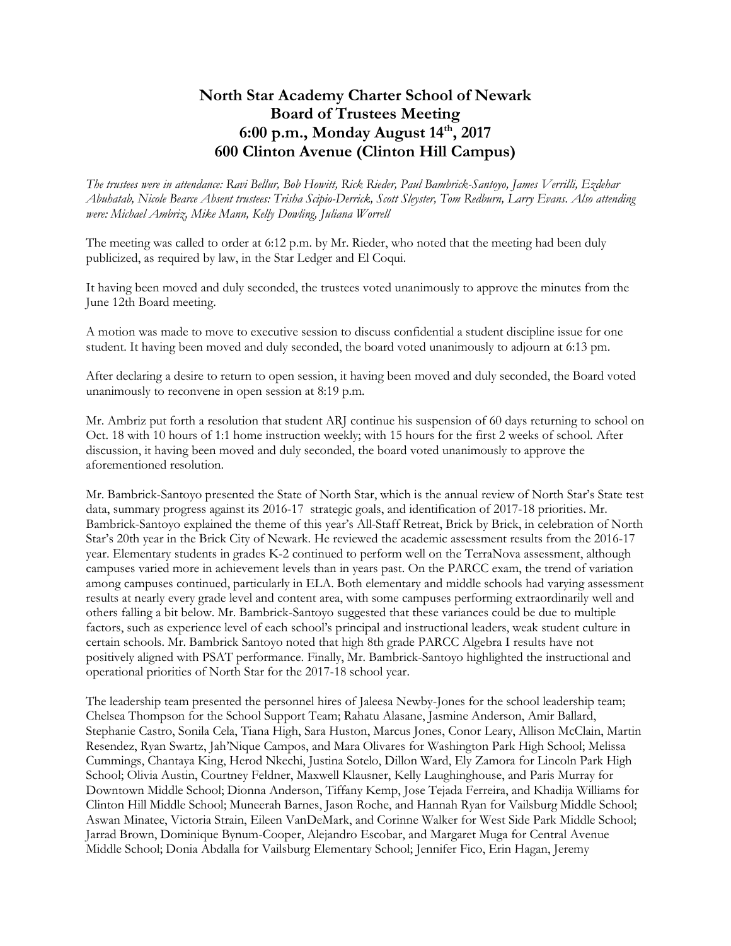## **North Star Academy Charter School of Newark Board of Trustees Meeting 6:00 p.m., Monday August 14 th, 2017 600 Clinton Avenue (Clinton Hill Campus)**

*The trustees were in attendance: Ravi Bellur, Bob Howitt, Rick Rieder, Paul Bambrick-Santoyo, James Verrilli, Ezdehar Abuhatab, Nicole Bearce Absent trustees: Trisha Scipio-Derrick, Scott Sleyster, Tom Redburn, Larry Evans. Also attending were: Michael Ambriz, Mike Mann, Kelly Dowling, Juliana Worrell*

The meeting was called to order at 6:12 p.m. by Mr. Rieder, who noted that the meeting had been duly publicized, as required by law, in the Star Ledger and El Coqui.

It having been moved and duly seconded, the trustees voted unanimously to approve the minutes from the June 12th Board meeting.

A motion was made to move to executive session to discuss confidential a student discipline issue for one student. It having been moved and duly seconded, the board voted unanimously to adjourn at 6:13 pm.

After declaring a desire to return to open session, it having been moved and duly seconded, the Board voted unanimously to reconvene in open session at 8:19 p.m.

Mr. Ambriz put forth a resolution that student ARJ continue his suspension of 60 days returning to school on Oct. 18 with 10 hours of 1:1 home instruction weekly; with 15 hours for the first 2 weeks of school. After discussion, it having been moved and duly seconded, the board voted unanimously to approve the aforementioned resolution.

Mr. Bambrick-Santoyo presented the State of North Star, which is the annual review of North Star's State test data, summary progress against its 2016-17 strategic goals, and identification of 2017-18 priorities. Mr. Bambrick-Santoyo explained the theme of this year's All-Staff Retreat, Brick by Brick, in celebration of North Star's 20th year in the Brick City of Newark. He reviewed the academic assessment results from the 2016-17 year. Elementary students in grades K-2 continued to perform well on the TerraNova assessment, although campuses varied more in achievement levels than in years past. On the PARCC exam, the trend of variation among campuses continued, particularly in ELA. Both elementary and middle schools had varying assessment results at nearly every grade level and content area, with some campuses performing extraordinarily well and others falling a bit below. Mr. Bambrick-Santoyo suggested that these variances could be due to multiple factors, such as experience level of each school's principal and instructional leaders, weak student culture in certain schools. Mr. Bambrick Santoyo noted that high 8th grade PARCC Algebra I results have not positively aligned with PSAT performance. Finally, Mr. Bambrick-Santoyo highlighted the instructional and operational priorities of North Star for the 2017-18 school year.

The leadership team presented the personnel hires of Jaleesa Newby-Jones for the school leadership team; Chelsea Thompson for the School Support Team; Rahatu Alasane, Jasmine Anderson, Amir Ballard, Stephanie Castro, Sonila Cela, Tiana High, Sara Huston, Marcus Jones, Conor Leary, Allison McClain, Martin Resendez, Ryan Swartz, Jah'Nique Campos, and Mara Olivares for Washington Park High School; Melissa Cummings, Chantaya King, Herod Nkechi, Justina Sotelo, Dillon Ward, Ely Zamora for Lincoln Park High School; Olivia Austin, Courtney Feldner, Maxwell Klausner, Kelly Laughinghouse, and Paris Murray for Downtown Middle School; Dionna Anderson, Tiffany Kemp, Jose Tejada Ferreira, and Khadija Williams for Clinton Hill Middle School; Muneerah Barnes, Jason Roche, and Hannah Ryan for Vailsburg Middle School; Aswan Minatee, Victoria Strain, Eileen VanDeMark, and Corinne Walker for West Side Park Middle School; Jarrad Brown, Dominique Bynum-Cooper, Alejandro Escobar, and Margaret Muga for Central Avenue Middle School; Donia Abdalla for Vailsburg Elementary School; Jennifer Fico, Erin Hagan, Jeremy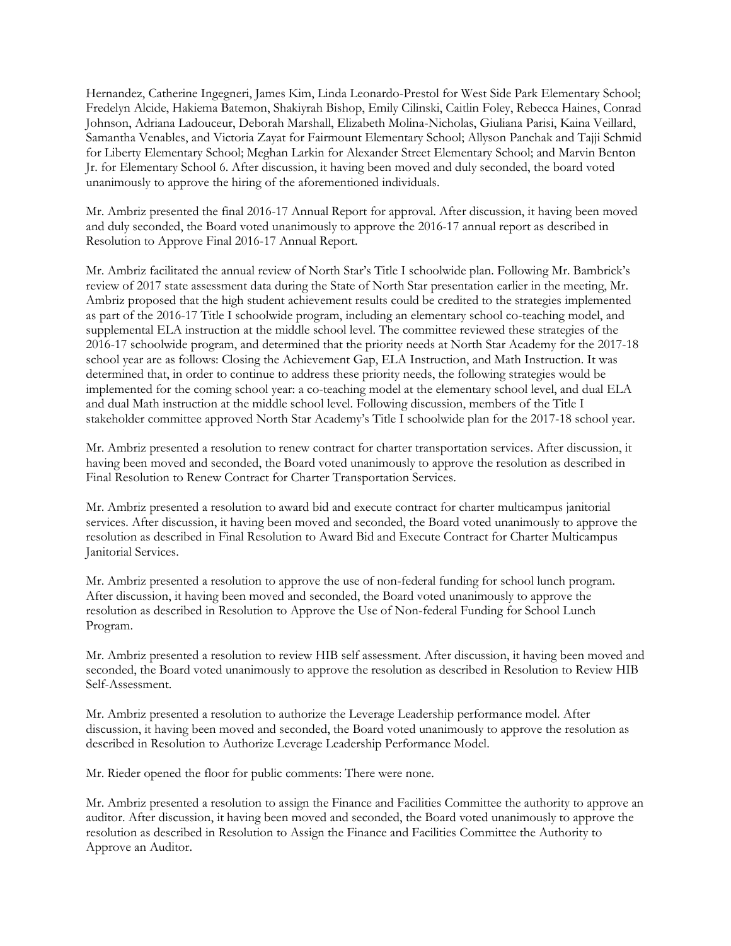Hernandez, Catherine Ingegneri, James Kim, Linda Leonardo-Prestol for West Side Park Elementary School; Fredelyn Alcide, Hakiema Batemon, Shakiyrah Bishop, Emily Cilinski, Caitlin Foley, Rebecca Haines, Conrad Johnson, Adriana Ladouceur, Deborah Marshall, Elizabeth Molina-Nicholas, Giuliana Parisi, Kaina Veillard, Samantha Venables, and Victoria Zayat for Fairmount Elementary School; Allyson Panchak and Tajji Schmid for Liberty Elementary School; Meghan Larkin for Alexander Street Elementary School; and Marvin Benton Jr. for Elementary School 6. After discussion, it having been moved and duly seconded, the board voted unanimously to approve the hiring of the aforementioned individuals.

Mr. Ambriz presented the final 2016-17 Annual Report for approval. After discussion, it having been moved and duly seconded, the Board voted unanimously to approve the 2016-17 annual report as described in Resolution to Approve Final 2016-17 Annual Report.

Mr. Ambriz facilitated the annual review of North Star's Title I schoolwide plan. Following Mr. Bambrick's review of 2017 state assessment data during the State of North Star presentation earlier in the meeting, Mr. Ambriz proposed that the high student achievement results could be credited to the strategies implemented as part of the 2016-17 Title I schoolwide program, including an elementary school co-teaching model, and supplemental ELA instruction at the middle school level. The committee reviewed these strategies of the 2016-17 schoolwide program, and determined that the priority needs at North Star Academy for the 2017-18 school year are as follows: Closing the Achievement Gap, ELA Instruction, and Math Instruction. It was determined that, in order to continue to address these priority needs, the following strategies would be implemented for the coming school year: a co-teaching model at the elementary school level, and dual ELA and dual Math instruction at the middle school level. Following discussion, members of the Title I stakeholder committee approved North Star Academy's Title I schoolwide plan for the 2017-18 school year.

Mr. Ambriz presented a resolution to renew contract for charter transportation services. After discussion, it having been moved and seconded, the Board voted unanimously to approve the resolution as described in Final Resolution to Renew Contract for Charter Transportation Services.

Mr. Ambriz presented a resolution to award bid and execute contract for charter multicampus janitorial services. After discussion, it having been moved and seconded, the Board voted unanimously to approve the resolution as described in Final Resolution to Award Bid and Execute Contract for Charter Multicampus Janitorial Services.

Mr. Ambriz presented a resolution to approve the use of non-federal funding for school lunch program. After discussion, it having been moved and seconded, the Board voted unanimously to approve the resolution as described in Resolution to Approve the Use of Non-federal Funding for School Lunch Program.

Mr. Ambriz presented a resolution to review HIB self assessment. After discussion, it having been moved and seconded, the Board voted unanimously to approve the resolution as described in Resolution to Review HIB Self-Assessment.

Mr. Ambriz presented a resolution to authorize the Leverage Leadership performance model. After discussion, it having been moved and seconded, the Board voted unanimously to approve the resolution as described in Resolution to Authorize Leverage Leadership Performance Model.

Mr. Rieder opened the floor for public comments: There were none.

Mr. Ambriz presented a resolution to assign the Finance and Facilities Committee the authority to approve an auditor. After discussion, it having been moved and seconded, the Board voted unanimously to approve the resolution as described in Resolution to Assign the Finance and Facilities Committee the Authority to Approve an Auditor.